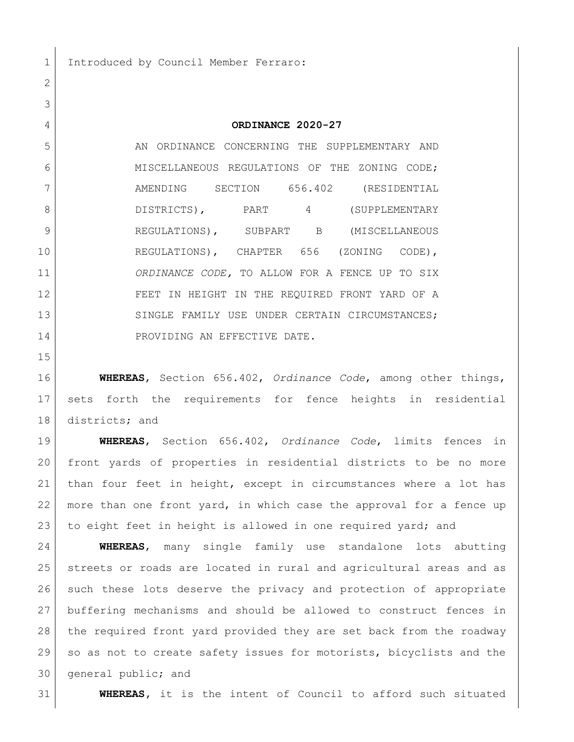Introduced by Council Member Ferraro:

**ORDINANCE 2020-27**

 AN ORDINANCE CONCERNING THE SUPPLEMENTARY AND 6 MISCELLANEOUS REGULATIONS OF THE ZONING CODE; AMENDING SECTION 656.402 (RESIDENTIAL 8 DISTRICTS), PART 4 (SUPPLEMENTARY REGULATIONS), SUBPART B (MISCELLANEOUS REGULATIONS), CHAPTER 656 (ZONING CODE), *ORDINANCE CODE,* TO ALLOW FOR A FENCE UP TO SIX FEET IN HEIGHT IN THE REQUIRED FRONT YARD OF A 13 SINGLE FAMILY USE UNDER CERTAIN CIRCUMSTANCES; 14 PROVIDING AN EFFECTIVE DATE.

 **WHEREAS**, Section 656.402, *Ordinance Code*, among other things, sets forth the requirements for fence heights in residential 18 districts; and

 **WHEREAS**, Section 656.402, *Ordinance Code*, limits fences in front yards of properties in residential districts to be no more than four feet in height, except in circumstances where a lot has more than one front yard, in which case the approval for a fence up to eight feet in height is allowed in one required yard; and

 **WHEREAS**, many single family use standalone lots abutting streets or roads are located in rural and agricultural areas and as such these lots deserve the privacy and protection of appropriate buffering mechanisms and should be allowed to construct fences in the required front yard provided they are set back from the roadway so as not to create safety issues for motorists, bicyclists and the general public; and

**WHEREAS,** it is the intent of Council to afford such situated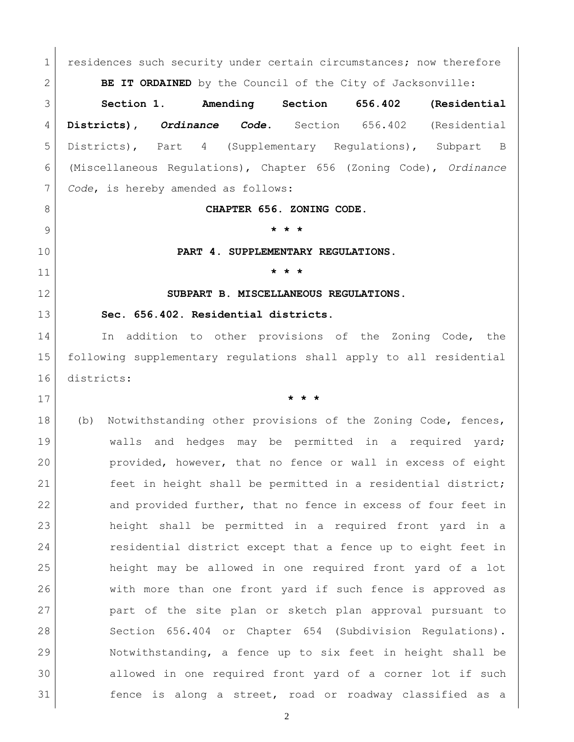1 residences such security under certain circumstances; now therefore **BE IT ORDAINED** by the Council of the City of Jacksonville: **Section 1. Amending Section 656.402 (Residential Districts),** *Ordinance Code***.** Section 656.402 (Residential Districts), Part 4 (Supplementary Regulations), Subpart B (Miscellaneous Regulations), Chapter 656 (Zoning Code), *Ordinance Code*, is hereby amended as follows: **CHAPTER 656. ZONING CODE. \* \* \* PART 4. SUPPLEMENTARY REGULATIONS. \* \* \* SUBPART B. MISCELLANEOUS REGULATIONS. Sec. 656.402. Residential districts.**  14 In addition to other provisions of the Zoning Code, the following supplementary regulations shall apply to all residential districts: **\* \* \*** 18 (b) Notwithstanding other provisions of the Zoning Code, fences, 19 Walls and hedges may be permitted in a required yard; provided, however, that no fence or wall in excess of eight feet in height shall be permitted in a residential district; 22 and provided further, that no fence in excess of four feet in height shall be permitted in a required front yard in a residential district except that a fence up to eight feet in height may be allowed in one required front yard of a lot with more than one front yard if such fence is approved as part of the site plan or sketch plan approval pursuant to [Section 656.404](http://library.municode.com/HTML/12174/level4/ZOSE_CH656ZOCO_PT4SURE_SPBMIRE.html#ZOSE_CH656ZOCO_PT4SURE_SPBMIRE_S656.404REPRSIDEPLRE) or [Chapter 654](http://library.municode.com/HTML/12174/level2/ZOSE_CH654COSURE.html#ZOSE_CH654COSURE) (Subdivision Regulations). Notwithstanding, a fence up to six feet in height shall be allowed in one required front yard of a corner lot if such fence is along a street, road or roadway classified as a